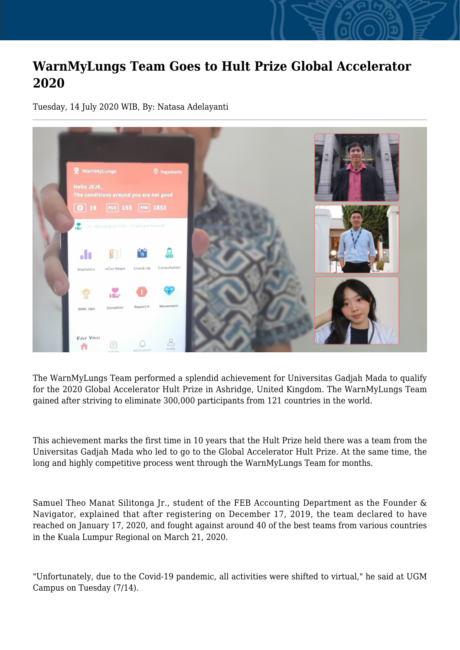## **WarnMyLungs Team Goes to Hult Prize Global Accelerator 2020**

Tuesday, 14 July 2020 WIB, By: Natasa Adelayanti



The WarnMyLungs Team performed a splendid achievement for Universitas Gadjah Mada to qualify for the 2020 Global Accelerator Hult Prize in Ashridge, United Kingdom. The WarnMyLungs Team gained after striving to eliminate 300,000 participants from 121 countries in the world.

This achievement marks the first time in 10 years that the Hult Prize held there was a team from the Universitas Gadjah Mada who led to go to the Global Accelerator Hult Prize. At the same time, the long and highly competitive process went through the WarnMyLungs Team for months.

Samuel Theo Manat Silitonga Jr., student of the FEB Accounting Department as the Founder & Navigator, explained that after registering on December 17, 2019, the team declared to have reached on January 17, 2020, and fought against around 40 of the best teams from various countries in the Kuala Lumpur Regional on March 21, 2020.

"Unfortunately, due to the Covid-19 pandemic, all activities were shifted to virtual," he said at UGM Campus on Tuesday (7/14).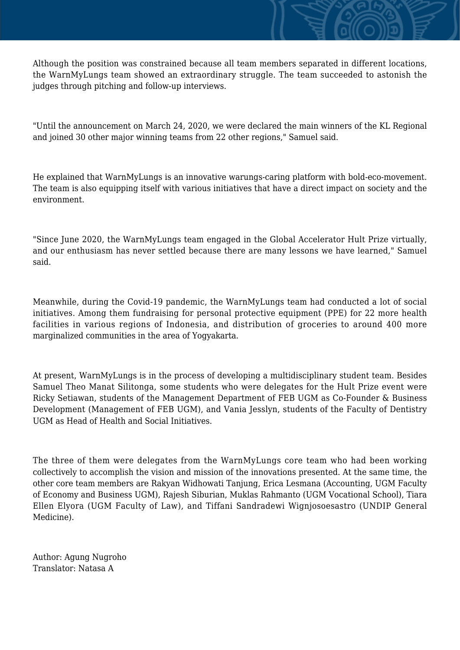Although the position was constrained because all team members separated in different locations, the WarnMyLungs team showed an extraordinary struggle. The team succeeded to astonish the judges through pitching and follow-up interviews.

"Until the announcement on March 24, 2020, we were declared the main winners of the KL Regional and joined 30 other major winning teams from 22 other regions," Samuel said.

He explained that WarnMyLungs is an innovative warungs-caring platform with bold-eco-movement. The team is also equipping itself with various initiatives that have a direct impact on society and the environment.

"Since June 2020, the WarnMyLungs team engaged in the Global Accelerator Hult Prize virtually, and our enthusiasm has never settled because there are many lessons we have learned," Samuel said.

Meanwhile, during the Covid-19 pandemic, the WarnMyLungs team had conducted a lot of social initiatives. Among them fundraising for personal protective equipment (PPE) for 22 more health facilities in various regions of Indonesia, and distribution of groceries to around 400 more marginalized communities in the area of Yogyakarta.

At present, WarnMyLungs is in the process of developing a multidisciplinary student team. Besides Samuel Theo Manat Silitonga, some students who were delegates for the Hult Prize event were Ricky Setiawan, students of the Management Department of FEB UGM as Co-Founder & Business Development (Management of FEB UGM), and Vania Jesslyn, students of the Faculty of Dentistry UGM as Head of Health and Social Initiatives.

The three of them were delegates from the WarnMyLungs core team who had been working collectively to accomplish the vision and mission of the innovations presented. At the same time, the other core team members are Rakyan Widhowati Tanjung, Erica Lesmana (Accounting, UGM Faculty of Economy and Business UGM), Rajesh Siburian, Muklas Rahmanto (UGM Vocational School), Tiara Ellen Elyora (UGM Faculty of Law), and Tiffani Sandradewi Wignjosoesastro (UNDIP General Medicine).

Author: Agung Nugroho Translator: Natasa A